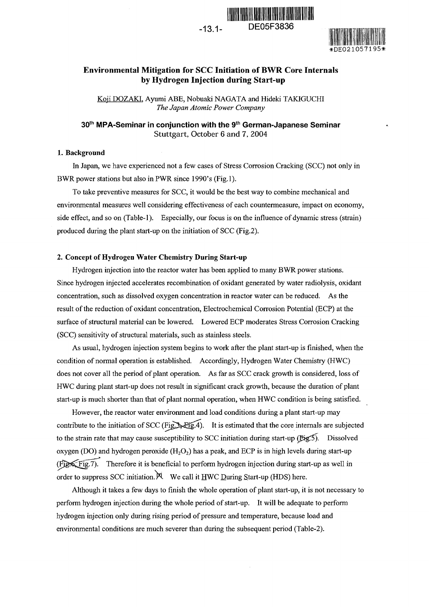

DE05F3836



### **Environmental Mitigation for SCC Initiation of BWR Core Internals by Hydrogen Injection during Start-up**

Koji DOZAKI, Ayumi ABE, Nobuaki NAGATA and Hideki TAKIGUCHI *The Japan Atomic Power Company*

**301h MPA-Serninar in conjunction with the** 91h **German-Japanese Seminar** Stuttgart, October 6 and 7, 2004

### 1. **Background**

In Japan, we have experienced not a few cases of Stress Corrosion Cracking (SCC) not only in BWR power stations but also in PWR since 1990's (Fig.1).

To take preventive measures for SCC, it would be the best way to combine mechanical and environmental measures well considering effectiveness of each countermeasure impact on economy, side effect, and so on (Table-1). Especially, our focus is on the influence of dynamic stress (strain) produced during the plant start-up on the initiation of SCC (Fig.2).

### **2. Concept of Hydrogen Water Chemistry During Start-up**

Hydrogen injection into the reactor water has been applied to many BWR power stations. Since hydrogen injected accelerates recombination of oxidant generated by water radiolysis, oxidant concentration, such as dissolved oxygen concentration in reactor water can be reduced. As the result of the reduction of oxidant concentration, Electrochemical Corrosion Potential (ECP) at the surface of structural material can be lowered. Lowered ECP moderates Stress Corrosion Cracking (SCC) sensitivity of structural materials, such as stainless steels.

As usual, hydrogen injection system begins to work after the plant start-up is finished, when the condition of normal operation is established. Accordingly, Hydrogen Water Chemistry (HWC) does not cover all the period of plant operation. As far as SCC crack growth is considered, loss of HWC during plant start-up does not result in significant crack growth, because the duration of plant start-up is much shorter than that of plant normal operation, when HWC condition is being satisfied.

However, the reactor water environment and load conditions during a plant start-up may contribute to the initiation of SCC (Fig. 3, Fig. 4). It is estimated that the core internals are subjected to the strain rate that may cause susceptibility to SCC initiation during start-up  $(Eig.5)$ . Dissolved oxygen (DO) and hydrogen peroxide  $(H_2O_2)$  has a peak, and ECP is in high levels during start-up  $(F)$ . Therefore it is beneficial to perform hydrogen injection during start-up as well in order to suppress SCC initiation.  $\aleph$  We call it HWC During Start-up (HDS) here.

Although it takes a few days to finish the whole operation of plant start-up, it is not necessary to perform hydrogen injection during the whole period of start-up. It will be adequate to perform hydrogen injection only during rising period of pressure and temperature, because load and environmental conditions are much severer than during the subsequent period (Table-2).

 $-13.1-$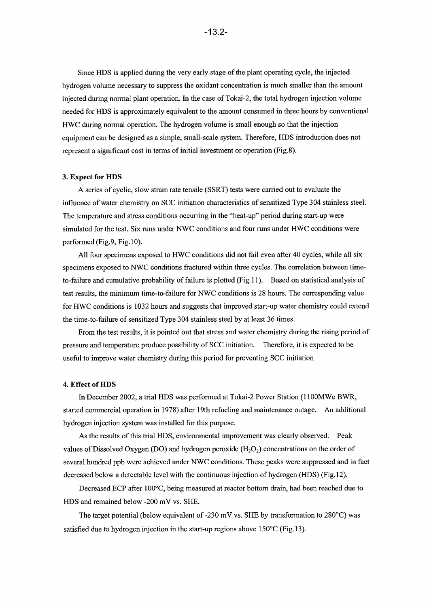Since HDS is applied during the very early stage of the plant operating cycle, the injected hydrogen volume necessary to suppress the oxidant concentration is much smaller than the amount injected during normal plant operation. In the case of Tokal-2, the total hydrogen injection volume needed for HDS is approximately equivalent to the amount consumed in three hours by conventional HWC during normal operation. The hydrogen volume is small enough so that the injection equipment can be designed as a simple, small-scale system. Therefore, HDS introduction does not represent a significant cost in terms of initial investment or operation (Fig.8).

### **3. Expect for HDS**

A series of cyclic, slow strain rate tensile (SSRT) tests were carried out to evaluate the influence of water chemistry on SCC initiation characteristics of sensitized Type 304 stainless steel. The temperature and stress conditions occurring in the "heat-up" period during start-up were simulated for the test. Six runs under NWC conditions and four runs under HWC conditions were performed (Fig. 9, Fig.  $10$ ).

All four specimens exposed to HWC conditions did not fail even after 40 cycles, while all six specimens exposed to NWC conditions fractured within three cycles. The correlation between timeto-failure and cumulative probability of failure is plotted (Fig.11). Based on statistical analysis of test results, the minimum time-to-failure for NWC conditions is 28 hours. The corresponding value for HWC conditions is 1032 hours and suggests that improved start-up water chemistry could extend the time-to-failure of sensitized Type 304 stainless steel by at least 36 times.

From the test results, it is pointed out that stress and water chemistry during the rising period of pressure and temperature produce possibility of SCC initiation. Therefore, it is expected to be useful to improve water chemistry during tis period for preventing SCC initiation

#### **4 Effect of HDS**

In December 2002, a trial HDS was performed at Tokai-2 Power Station (I I OOMWe BWR, started commercial operation in 1978) after 19th refueling and maintenance outage. An additional hydrogen injection system was installed for this purpose.

As the results of this trial HDS, environmental improvement was clearly observed. Peak values of Dissolved Oxygen (DO) and hydrogen peroxide  $(H_2O_2)$  concentrations on the order of several hundred ppb were achieved under NWC conditions. These peaks were suppressed and in fact decreased below a detectable level with the continuous injection of hydrogen (HDS) (Fig. 12).

Decreased ECP after 100°C, being measured at reactor bottom drain, had been reached due to HDS and remained below 200 mV vs. SHE.

The target potential (below equivalent of -230 mV vs. SHE by transformation to 280°C) was satisfied due to hydrogen injection in the start-up regions above  $150^{\circ}$ C (Fig. 13).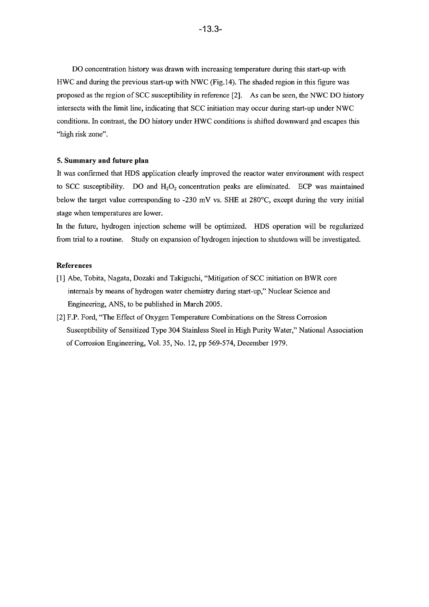DO concentration history was drawn with increasing temperature during this start-up with HWC and during the previous start-up with NWC (Fig. 14). The shaded region in this figure was proposed as the region of SCC susceptibility in reference 2]. As can be seen, the NWC DO history intersects with the limit line, indicating that SCC initiation may occur during start-up under NWC conditions. In contrast, the DO history under HWC conditions is shifted downward and escapes this "high risk zone".

### **5. Summary and future plan**

It was confirmed that HDS application clearly improved the reactor water environment with respect to SCC susceptibility. DO and  $H_2O_2$  concentration peaks are eliminated. ECP was maintained below the target value corresponding to 230 mV vs. SHE at 280'C, except during the very initial stage when temperatures are lower.

In the future, hydrogen injection scheme will be optimized. HDS operation will be regularized from trial to a routine. Study on expansion of hydrogen injection to shutdown will be investigated.

### **References**

- **[1]** Abe, Tobita, Nagata, Dozaki and Takiguchi "Mitigation of SCC initiation on BWR core internals by means of hydrogen water chemistry during start-up," Nuclear Science and Engineering, ANS, to be published in March 2005.
- [2] F.P. Ford, "The Effect of Oxygen Temperature Combinations on the Stress Corrosion Susceptibility of Sensitized Type 304 Stainless Steel in High Purity Water," National Association of Corrosion Engineering, Vol. 35, No. 12, pp 569-574, December 1979.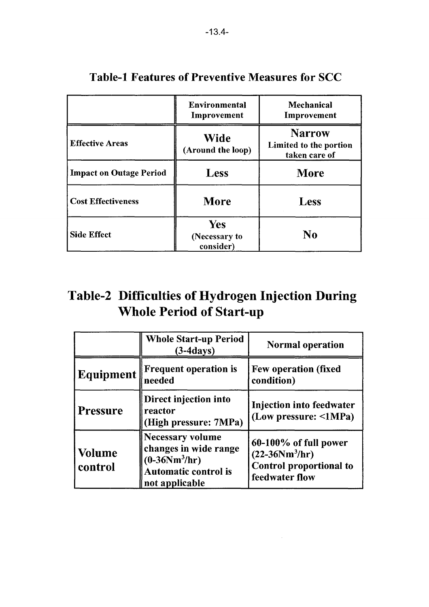|                                | <b>Environmental</b><br>Improvement      | <b>Mechanical</b><br>Improvement<br><b>Narrow</b><br>Limited to the portion<br>taken care of |  |  |
|--------------------------------|------------------------------------------|----------------------------------------------------------------------------------------------|--|--|
| <b>Effective Areas</b>         | <b>Wide</b><br>(Around the loop)         |                                                                                              |  |  |
| <b>Impact on Outage Period</b> | <b>Less</b>                              | <b>More</b>                                                                                  |  |  |
| <b>Cost Effectiveness</b>      | More                                     | <b>Less</b>                                                                                  |  |  |
| <b>Side Effect</b>             | <b>Yes</b><br>(Necessary to<br>consider) | N <sub>0</sub>                                                                               |  |  |

# Table-1 Features of Preventive Measures for SCC

# Table-2 Difficulties of Hydrogen Injection During Whole Period of Start-up

|                          | <b>Whole Start-up Period</b><br>$(3-4days)$                                                                          | <b>Normal operation</b>                                                                                                                                     |  |  |
|--------------------------|----------------------------------------------------------------------------------------------------------------------|-------------------------------------------------------------------------------------------------------------------------------------------------------------|--|--|
| Equipment                | <b>Frequent operation is</b><br>needed                                                                               | <b>Few operation (fixed</b><br>condition)                                                                                                                   |  |  |
| <b>Pressure</b>          | Direct injection into<br>reactor<br>(High pressure: 7MPa)                                                            | <b>Injection into feedwater</b><br>(Low pressure: $\leq 1MPa$ )<br>60-100% of full power<br>$(22 - 36Nm^3/hr)$<br>Control proportional to<br>feedwater flow |  |  |
| <b>Volume</b><br>control | <b>Necessary volume</b><br>changes in wide range<br>$(0-36Nm^3/hr)$<br><b>Automatic control is</b><br>not applicable |                                                                                                                                                             |  |  |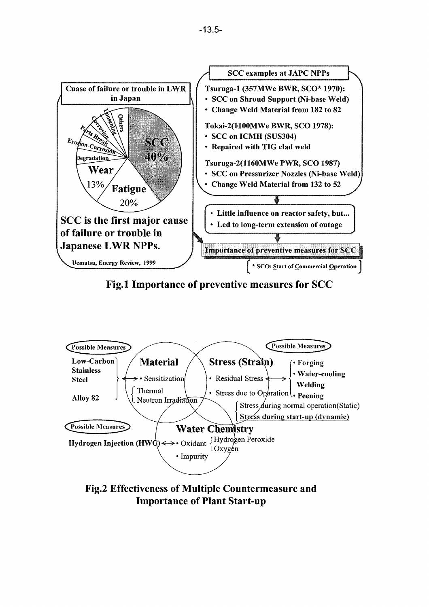

**Fig.1 Importance of preventive measures for SCC**



**Fig.2 Effectiveness of Multiple Countermeasure and Importance of Plant Start-up**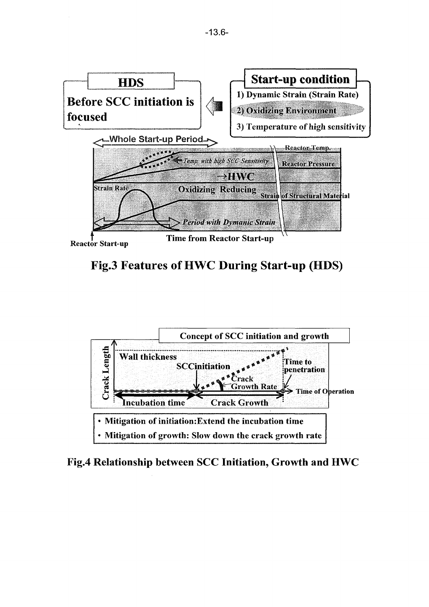

Fig.3 Features of HWC During Start-up (HDS)



Fig.4 Relationship between SCC Initiation, Growth and HWC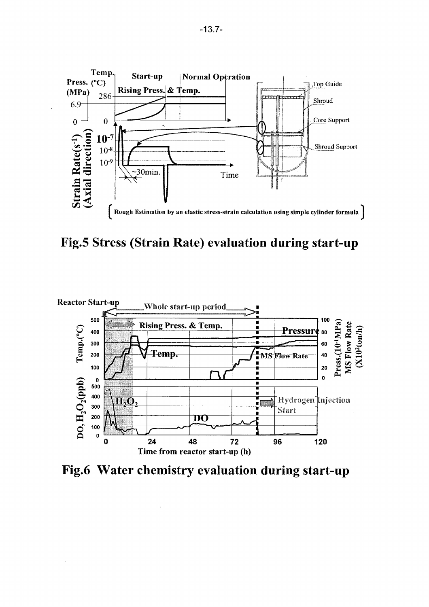

Fig.5 Stress (Strain Rate) evaluation during start-up



Fig.6 Water chemistry evaluation during start-up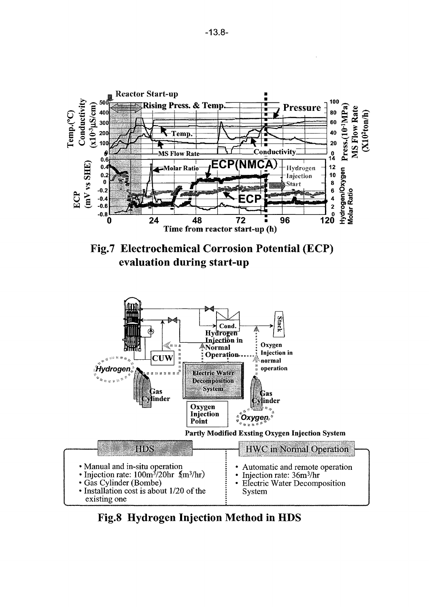





Fig.8 Hydrogen Injection Method in HDS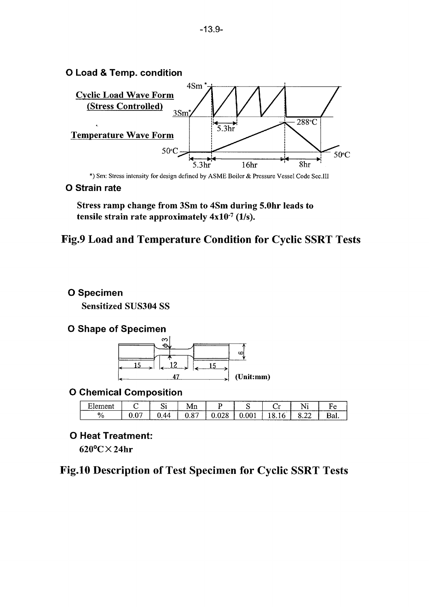

\*) Sm: Stress intensity for design defined by ASME Boiler & Pressure Vessel Code Sec.III

## <sup>0</sup>**Strain rate**

Stress ramp change from 3Sm to 4Sm during 5.Ohr leads to tensile strain rate approximately  $4x10^{-7}$  (1/s).

## Fig.9 Load **and** Temperature Condition for Cyclic SSRT Tests

## • **Specimen**

Sensitized SUS304 SS

## **O Shape of Specimen**



## **•** Chemical Composition

| $\blacksquare$<br>$\mathbf{A}$<br>≏י |        | ~<br>້     | TATTI               |   |  | $- - -$                                             | $\overline{\phantom{a}}$<br>- |
|--------------------------------------|--------|------------|---------------------|---|--|-----------------------------------------------------|-------------------------------|
| 0.<br>1 L                            | $\sim$ | ---------- | $\sim$<br>ъ.<br>◡.◡ | ~ |  | ----<br>$\sim$<br>-<br><i></i><br>_________________ | D.<br>Dal.                    |

## **O Heat Treatment:**

 $620^{\circ}$ C $\times$ 24hr

# Fig.10 Description of Test Specimen for Cyclic SSRT Tests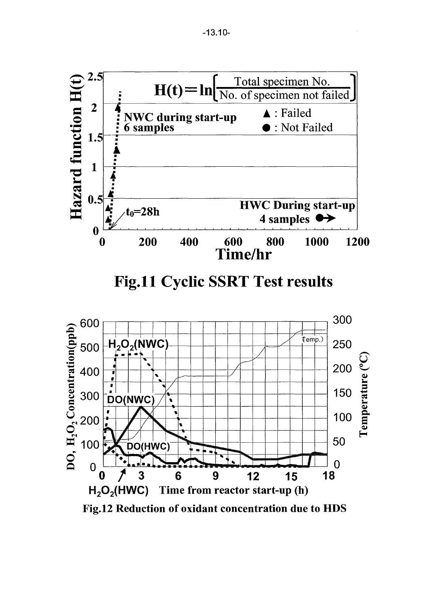

Fig.12 Reduction of oxidant concentration due to HDS